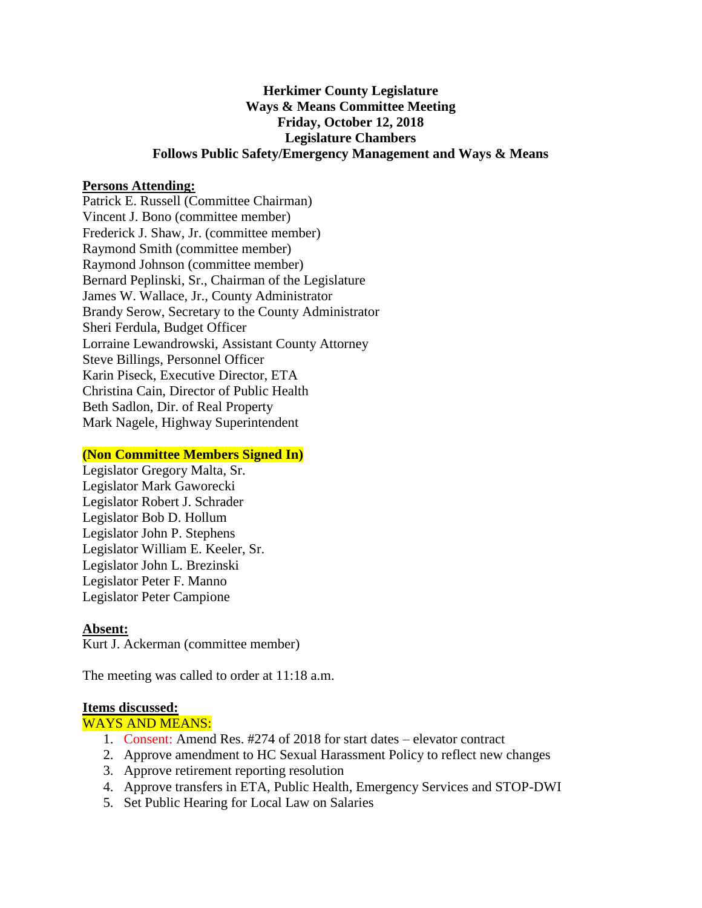# **Herkimer County Legislature Ways & Means Committee Meeting Friday, October 12, 2018 Legislature Chambers Follows Public Safety/Emergency Management and Ways & Means**

## **Persons Attending:**

Patrick E. Russell (Committee Chairman) Vincent J. Bono (committee member) Frederick J. Shaw, Jr. (committee member) Raymond Smith (committee member) Raymond Johnson (committee member) Bernard Peplinski, Sr., Chairman of the Legislature James W. Wallace, Jr., County Administrator Brandy Serow, Secretary to the County Administrator Sheri Ferdula, Budget Officer Lorraine Lewandrowski, Assistant County Attorney Steve Billings, Personnel Officer Karin Piseck, Executive Director, ETA Christina Cain, Director of Public Health Beth Sadlon, Dir. of Real Property Mark Nagele, Highway Superintendent

### **(Non Committee Members Signed In)**

Legislator Gregory Malta, Sr. Legislator Mark Gaworecki Legislator Robert J. Schrader Legislator Bob D. Hollum Legislator John P. Stephens Legislator William E. Keeler, Sr. Legislator John L. Brezinski Legislator Peter F. Manno Legislator Peter Campione

#### **Absent:**

Kurt J. Ackerman (committee member)

The meeting was called to order at 11:18 a.m.

#### **Items discussed:**

WAYS AND MEANS:

- 1. Consent: Amend Res. #274 of 2018 for start dates elevator contract
- 2. Approve amendment to HC Sexual Harassment Policy to reflect new changes
- 3. Approve retirement reporting resolution
- 4. Approve transfers in ETA, Public Health, Emergency Services and STOP-DWI
- 5. Set Public Hearing for Local Law on Salaries